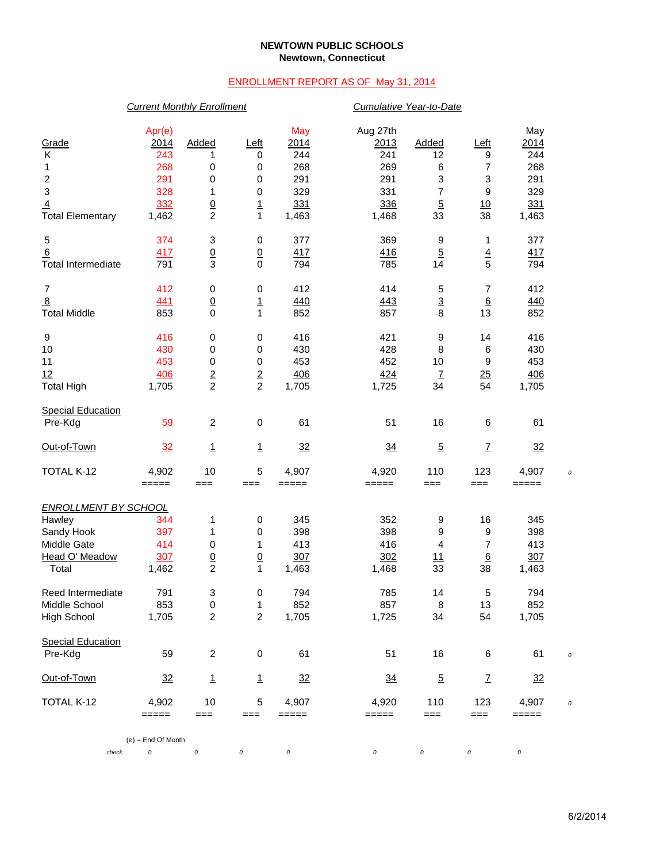### **NEWTOWN PUBLIC SCHOOLS Newtown, Connecticut**

## ENROLLMENT REPORT AS OF May 31, 2014

### *Current Monthly Enrollment Cumulative Year-to-Date*

| Grade                       | Apr(e)<br>2014       | Added            | Left            | May<br>2014    | Aug 27th<br>2013 | Added                    | <u>Left</u>              | May<br>2014    |  |
|-----------------------------|----------------------|------------------|-----------------|----------------|------------------|--------------------------|--------------------------|----------------|--|
| Κ                           | 243                  | 1                | 0               | 244            | 241              | 12                       | 9                        | 244            |  |
| 1                           | 268                  | 0                | 0               | 268            | 269              | 6                        | 7                        | 268            |  |
| $\overline{\mathbf{c}}$     | 291                  | 0                | 0               | 291            | 291              | 3                        | 3                        | 291            |  |
| $\mathbf{3}$                | 328                  | 1                | 0               | 329            | 331              | $\overline{\mathcal{I}}$ | $\boldsymbol{9}$         | 329            |  |
| $\overline{4}$              | 332                  | $\underline{0}$  | $\overline{1}$  | 331            | 336              | $\overline{5}$           | 10                       | 331            |  |
| <b>Total Elementary</b>     | 1,462                | $\overline{c}$   | $\mathbf{1}$    | 1,463          | 1,468            | 33                       | 38                       | 1,463          |  |
| 5                           | 374                  | 3                | $\pmb{0}$       | 377            | 369              | 9                        | 1                        | 377            |  |
| 6                           | 417                  | $\underline{0}$  | $\underline{0}$ | 417            | 416              | $\overline{5}$           | $\frac{4}{5}$            | 417            |  |
| <b>Total Intermediate</b>   | 791                  | $\mathsf 3$      | $\mathbf 0$     | 794            | 785              | 14                       |                          | 794            |  |
| $\overline{7}$              | 412                  | $\pmb{0}$        | 0               | 412            | 414              | 5                        | 7                        | 412            |  |
| $\overline{8}$              | 441                  | $\underline{0}$  | $\overline{1}$  | 440            | 443              | $\frac{3}{8}$            | $\underline{6}$          | 440            |  |
| <b>Total Middle</b>         | 853                  | 0                | 1               | 852            | 857              |                          | 13                       | 852            |  |
| 9                           | 416                  | $\pmb{0}$        | 0               | 416            | 421              | 9                        | 14                       | 416            |  |
| 10                          | 430                  | 0                | $\pmb{0}$       | 430            | 428              | 8                        | 6                        | 430            |  |
| 11                          | 453                  | $\pmb{0}$        | 0               | 453            | 452              | 10                       | 9                        | 453            |  |
| 12                          | 406                  | $\overline{2}$   | $\frac{2}{2}$   | 406            | 424              | $\underline{\mathsf{7}}$ | 25                       | 406            |  |
| <b>Total High</b>           | 1,705                | $\overline{c}$   |                 | 1,705          | 1,725            | 34                       | 54                       | 1,705          |  |
| <b>Special Education</b>    |                      |                  |                 |                |                  |                          |                          |                |  |
| Pre-Kdg                     | 59                   | $\boldsymbol{2}$ | $\mathbf 0$     | 61             | 51               | 16                       | 6                        | 61             |  |
| Out-of-Town                 | 32                   | $\overline{1}$   | $\overline{1}$  | $\frac{32}{2}$ | $\frac{34}{5}$   | $\overline{5}$           | $\overline{1}$           | $\frac{32}{2}$ |  |
| TOTAL K-12                  | 4,902                | 10               | 5               | 4,907          | 4,920            | 110                      | 123                      | 4,907          |  |
|                             | =====                | $==$             | $==$            | =====          | $=====$          | $==$                     | $==$                     | =====          |  |
| <b>ENROLLMENT BY SCHOOL</b> |                      |                  |                 |                |                  |                          |                          |                |  |
| Hawley                      | 344                  | 1                | 0               | 345            | 352              | 9                        | 16                       | 345            |  |
| Sandy Hook                  | 397                  | 1                | 0               | 398            | 398              | 9                        | 9                        | 398            |  |
| Middle Gate                 | 414                  | 0                | 1               | 413            | 416              | $\overline{\mathbf{4}}$  | $\overline{7}$           | 413            |  |
| Head O' Meadow              | 307                  | $\overline{0}$   | $\underline{0}$ | 307            | 302              | 11                       | $6\overline{6}$          | 307            |  |
| Total                       | 1,462                | $\overline{c}$   | 1               | 1,463          | 1,468            | 33                       | 38                       | 1,463          |  |
| Reed Intermediate           | 791                  | 3                | $\pmb{0}$       | 794            | 785              | 14                       | 5                        | 794            |  |
| Middle School               | 853                  | 0                | 1               | 852            | 857              | 8                        | 13                       | 852            |  |
| <b>High School</b>          | 1,705                | $\boldsymbol{2}$ | $\overline{c}$  | 1,705          | 1,725            | 34                       | 54                       | 1,705          |  |
| <b>Special Education</b>    |                      |                  |                 |                |                  |                          |                          |                |  |
| Pre-Kdg                     | 59                   | $\boldsymbol{2}$ | $\,0\,$         | 61             | 51               | 16                       | 6                        | 61             |  |
| Out-of-Town                 | 32                   | $\mathbf{1}$     | 1               | 32             | $\frac{34}{5}$   | $\overline{5}$           | $\underline{\mathsf{Z}}$ | 32             |  |
| TOTAL K-12                  | 4,902                | 10               | 5               | 4,907          | 4,920            | 110                      | 123                      | 4,907          |  |
|                             | =====                | ===              | ===             | =====          | $=====$          | $==$                     | ===                      | $=====$        |  |
|                             | $(e)$ = End Of Month |                  |                 |                |                  |                          |                          |                |  |
| check                       | 0                    | 0                | 0               | 0              | 0                | 0                        | 0                        | 0              |  |